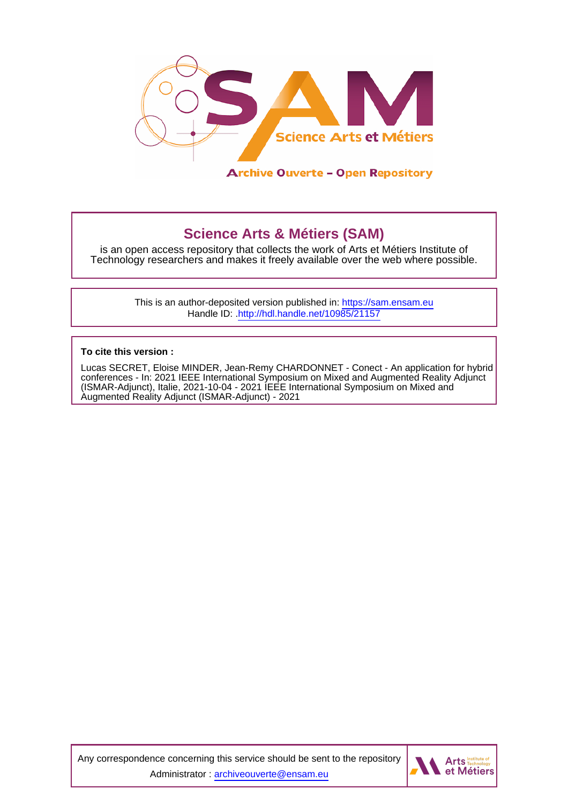

# **Science Arts & Métiers (SAM)**

is an open access repository that collects the work of Arts et Métiers Institute of Technology researchers and makes it freely available over the web where possible.

> This is an author-deposited version published in:<https://sam.ensam.eu> Handle ID: [.http://hdl.handle.net/10985/21157](http://hdl.handle.net/10985/21157)

**To cite this version :**

Lucas SECRET, Eloise MINDER, Jean-Remy CHARDONNET - Conect - An application for hybrid conferences - In: 2021 IEEE International Symposium on Mixed and Augmented Reality Adjunct (ISMAR-Adjunct), Italie, 2021-10-04 - 2021 IEEE International Symposium on Mixed and Augmented Reality Adjunct (ISMAR-Adjunct) - 2021

Any correspondence concerning this service should be sent to the repository Administrator : [archiveouverte@ensam.eu](mailto:archiveouverte@ensam.eu)

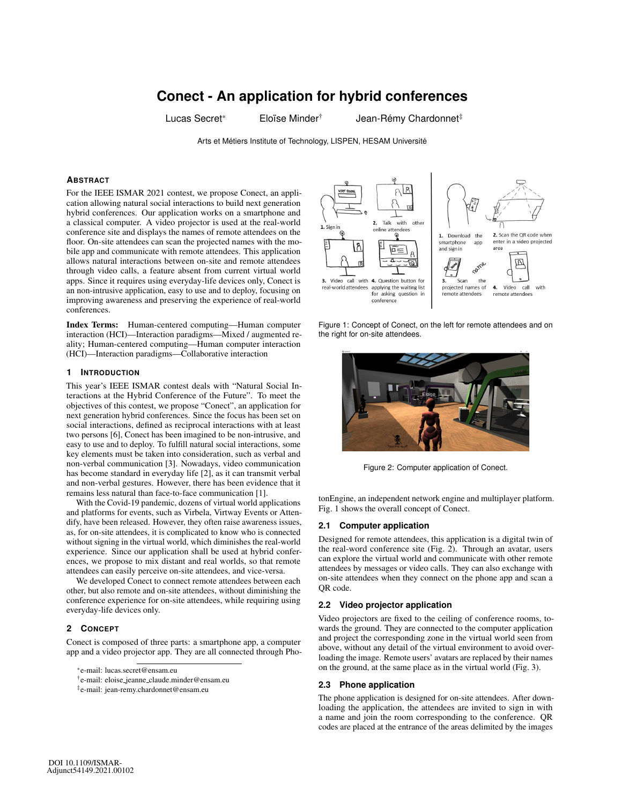# **Conect - An application for hybrid conferences**

Lucas Secret\* Eloïse Minder<sup>†</sup> Jean-Rémy Chardonnet<sup>‡</sup>

Arts et Métiers Institute of Technology, LISPEN, HESAM Université

# **ABSTRACT**

For the IEEE ISMAR 2021 contest, we propose Conect, an application allowing natural social interactions to build next generation hybrid conferences. Our application works on a smartphone and a classical computer. A video projector is used at the real-world conference site and displays the names of remote attendees on the floor. On-site attendees can scan the projected names with the mobile app and communicate with remote attendees. This application allows natural interactions between on-site and remote attendees through video calls, a feature absent from current virtual world apps. Since it requires using everyday-life devices only, Conect is an non-intrusive application, easy to use and to deploy, focusing on improving awareness and preserving the experience of real-world conferences.

Index Terms: Human-centered computing—Human computer interaction (HCI)—Interaction paradigms—Mixed / augmented reality; Human-centered computing—Human computer interaction (HCI)—Interaction paradigms—Collaborative interaction

### **1 INTRODUCTION**

This year's IEEE ISMAR contest deals with "Natural Social Interactions at the Hybrid Conference of the Future". To meet the objectives of this contest, we propose "Conect", an application for next generation hybrid conferences. Since the focus has been set on social interactions, defined as reciprocal interactions with at least two persons [6], Conect has been imagined to be non-intrusive, and easy to use and to deploy. To fulfill natural social interactions, some key elements must be taken into consideration, such as verbal and non-verbal communication [3]. Nowadays, video communication has become standard in everyday life [2], as it can transmit verbal and non-verbal gestures. However, there has been evidence that it remains less natural than face-to-face communication [1].

With the Covid-19 pandemic, dozens of virtual world applications and platforms for events, such as Virbela, Virtway Events or Attendify, have been released. However, they often raise awareness issues, as, for on-site attendees, it is complicated to know who is connected without signing in the virtual world, which diminishes the real-world experience. Since our application shall be used at hybrid conferences, we propose to mix distant and real worlds, so that remote attendees can easily perceive on-site attendees, and vice-versa.

We developed Conect to connect remote attendees between each other, but also remote and on-site attendees, without diminishing the conference experience for on-site attendees, while requiring using everyday-life devices only.

#### **2 CONCEPT**

Conect is composed of three parts: a smartphone app, a computer app and a video projector app. They are all connected through Pho-



Figure 1: Concept of Conect, on the left for remote attendees and on the right for on-site attendees.



Figure 2: Computer application of Conect.

tonEngine, an independent network engine and multiplayer platform. Fig. 1 shows the overall concept of Conect.

# **2.1 Computer application**

Designed for remote attendees, this application is a digital twin of the real-word conference site (Fig. 2). Through an avatar, users can explore the virtual world and communicate with other remote attendees by messages or video calls. They can also exchange with on-site attendees when they connect on the phone app and scan a OR code.

#### **2.2 Video projector application**

Video projectors are fixed to the ceiling of conference rooms, towards the ground. They are connected to the computer application and project the corresponding zone in the virtual world seen from above, without any detail of the virtual environment to avoid overloading the image. Remote users' avatars are replaced by their names on the ground, at the same place as in the virtual world (Fig. 3).

#### **2.3 Phone application**

The phone application is designed for on-site attendees. After downloading the application, the attendees are invited to sign in with a name and join the room corresponding to the conference. QR codes are placed at the entrance of the areas delimited by the images

<sup>\*</sup>e-mail: lucas.secret@ensam.eu

<sup>†</sup>e-mail: eloise jeanne claude.minder@ensam.eu

<sup>‡</sup>e-mail: jean-remy.chardonnet@ensam.eu